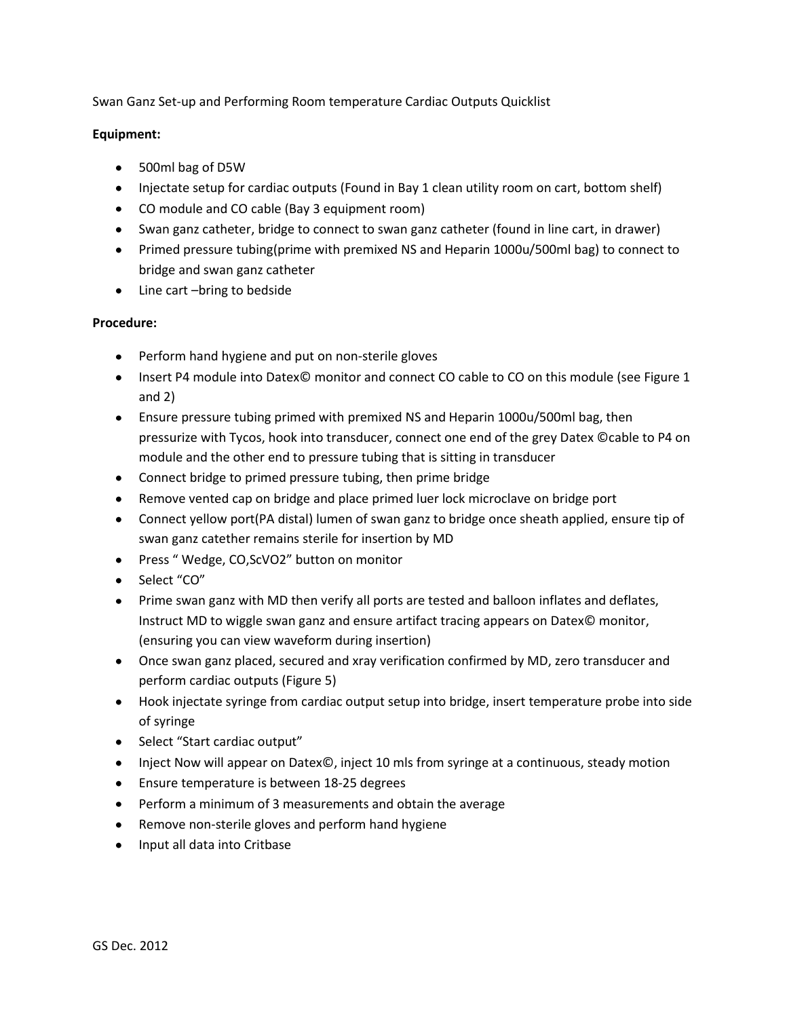Swan Ganz Set-up and Performing Room temperature Cardiac Outputs Quicklist

## **Equipment:**

- 500ml bag of D5W
- Injectate setup for cardiac outputs (Found in Bay 1 clean utility room on cart, bottom shelf)
- CO module and CO cable (Bay 3 equipment room)
- Swan ganz catheter, bridge to connect to swan ganz catheter (found in line cart, in drawer)
- Primed pressure tubing(prime with premixed NS and Heparin 1000u/500ml bag) to connect to bridge and swan ganz catheter
- Line cart –bring to bedside

## **Procedure:**

- Perform hand hygiene and put on non-sterile gloves
- Insert P4 module into Datex© monitor and connect CO cable to CO on this module (see Figure 1 and 2)
- Ensure pressure tubing primed with premixed NS and Heparin 1000u/500ml bag, then pressurize with Tycos, hook into transducer, connect one end of the grey Datex ©cable to P4 on module and the other end to pressure tubing that is sitting in transducer
- Connect bridge to primed pressure tubing, then prime bridge
- Remove vented cap on bridge and place primed luer lock microclave on bridge port
- Connect yellow port(PA distal) lumen of swan ganz to bridge once sheath applied, ensure tip of swan ganz catether remains sterile for insertion by MD
- Press "Wedge, CO,ScVO2" button on monitor
- Select "CO"
- Prime swan ganz with MD then verify all ports are tested and balloon inflates and deflates, Instruct MD to wiggle swan ganz and ensure artifact tracing appears on Datex© monitor, (ensuring you can view waveform during insertion)
- Once swan ganz placed, secured and xray verification confirmed by MD, zero transducer and perform cardiac outputs (Figure 5)
- Hook injectate syringe from cardiac output setup into bridge, insert temperature probe into side of syringe
- Select "Start cardiac output"
- Inject Now will appear on Datex©, inject 10 mls from syringe at a continuous, steady motion
- Ensure temperature is between 18-25 degrees
- Perform a minimum of 3 measurements and obtain the average
- $\bullet$ Remove non-sterile gloves and perform hand hygiene
- Input all data into Critbase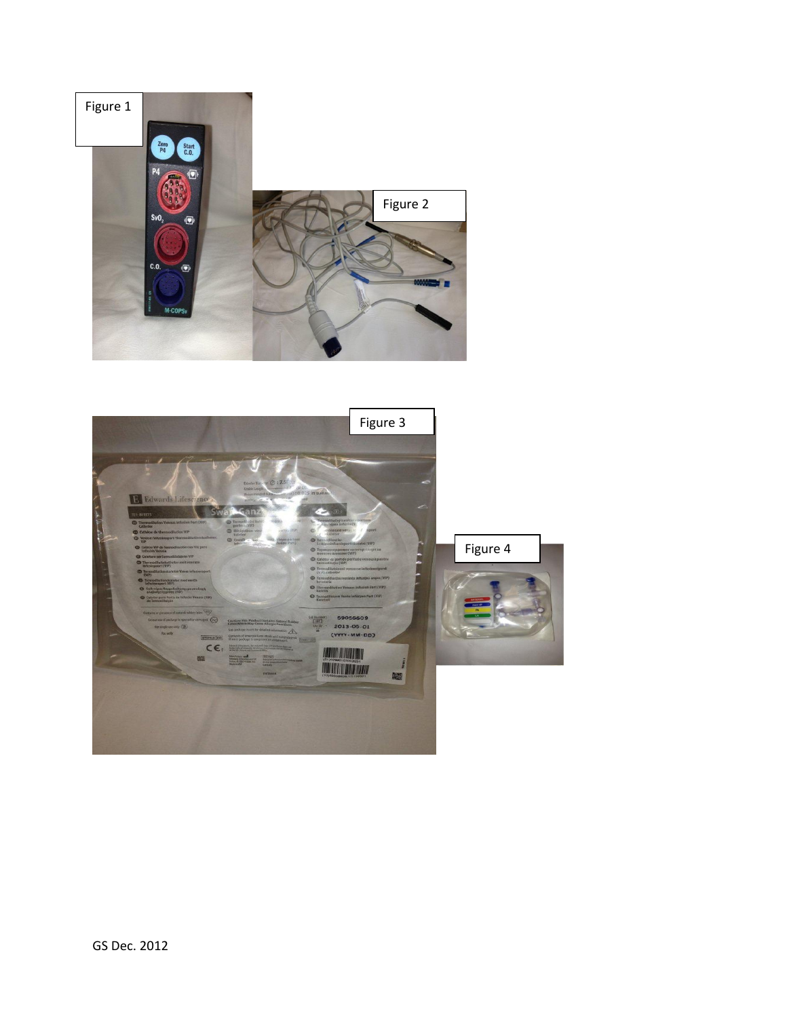